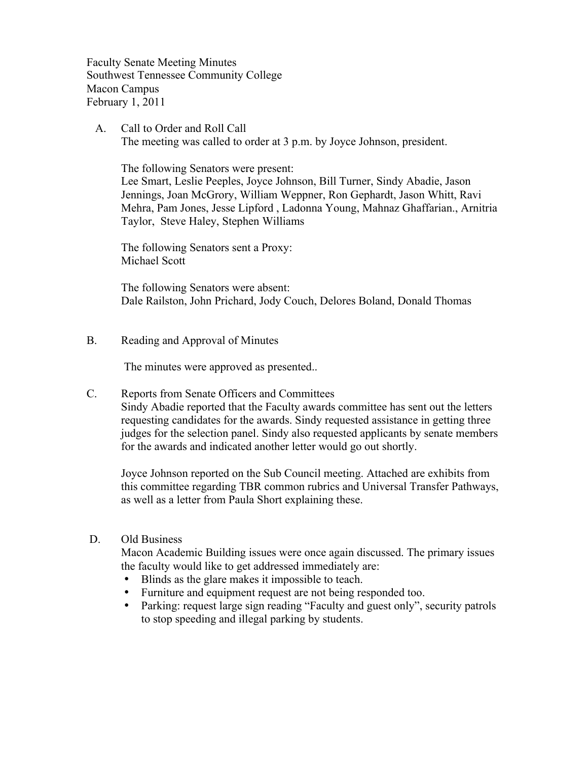Faculty Senate Meeting Minutes Southwest Tennessee Community College Macon Campus February 1, 2011

 A. Call to Order and Roll Call The meeting was called to order at 3 p.m. by Joyce Johnson, president.

The following Senators were present:

Lee Smart, Leslie Peeples, Joyce Johnson, Bill Turner, Sindy Abadie, Jason Jennings, Joan McGrory, William Weppner, Ron Gephardt, Jason Whitt, Ravi Mehra, Pam Jones, Jesse Lipford , Ladonna Young, Mahnaz Ghaffarian., Arnitria Taylor, Steve Haley, Stephen Williams

The following Senators sent a Proxy: Michael Scott

The following Senators were absent: Dale Railston, John Prichard, Jody Couch, Delores Boland, Donald Thomas

B. Reading and Approval of Minutes

The minutes were approved as presented..

C. Reports from Senate Officers and Committees Sindy Abadie reported that the Faculty awards committee has sent out the letters requesting candidates for the awards. Sindy requested assistance in getting three judges for the selection panel. Sindy also requested applicants by senate members for the awards and indicated another letter would go out shortly.

Joyce Johnson reported on the Sub Council meeting. Attached are exhibits from this committee regarding TBR common rubrics and Universal Transfer Pathways, as well as a letter from Paula Short explaining these.

#### D. Old Business

Macon Academic Building issues were once again discussed. The primary issues the faculty would like to get addressed immediately are:

- Blinds as the glare makes it impossible to teach.
- Furniture and equipment request are not being responded too.
- Parking: request large sign reading "Faculty and guest only", security patrols to stop speeding and illegal parking by students.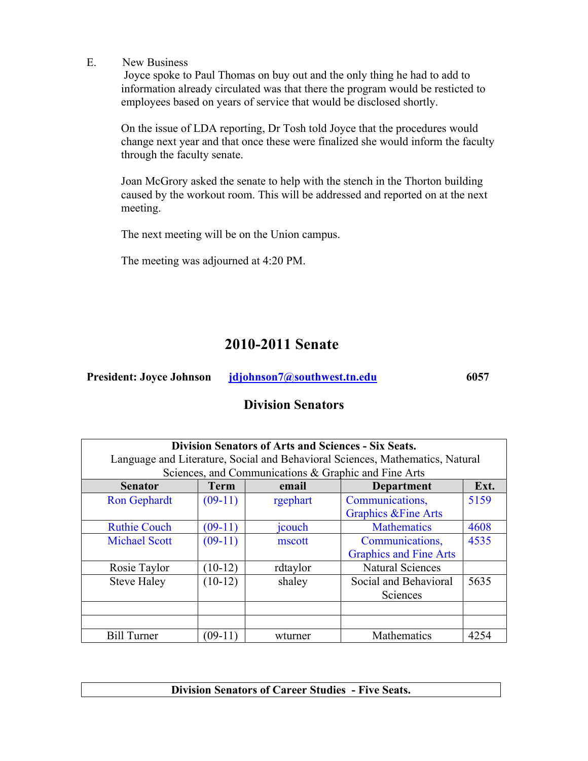E. New Business

 Joyce spoke to Paul Thomas on buy out and the only thing he had to add to information already circulated was that there the program would be resticted to employees based on years of service that would be disclosed shortly.

On the issue of LDA reporting, Dr Tosh told Joyce that the procedures would change next year and that once these were finalized she would inform the faculty through the faculty senate.

Joan McGrory asked the senate to help with the stench in the Thorton building caused by the workout room. This will be addressed and reported on at the next meeting.

The next meeting will be on the Union campus.

The meeting was adjourned at 4:20 PM.

# **2010-2011 Senate**

| 6057 |
|------|
|      |

## **Division Senators**

| <b>Division Senators of Arts and Sciences - Six Seats.</b><br>Language and Literature, Social and Behavioral Sciences, Mathematics, Natural |             |          |                                 |      |  |
|---------------------------------------------------------------------------------------------------------------------------------------------|-------------|----------|---------------------------------|------|--|
| Sciences, and Communications & Graphic and Fine Arts                                                                                        |             |          |                                 |      |  |
| <b>Senator</b>                                                                                                                              | <b>Term</b> | email    | <b>Department</b>               | Ext. |  |
| <b>Ron Gephardt</b>                                                                                                                         | $(09-11)$   | rgephart | Communications,                 | 5159 |  |
|                                                                                                                                             |             |          | <b>Graphics &amp; Fine Arts</b> |      |  |
| <b>Ruthie Couch</b>                                                                                                                         | $(09-11)$   | jcouch   | <b>Mathematics</b>              | 4608 |  |
| <b>Michael Scott</b>                                                                                                                        | $(09-11)$   | mscott   | Communications,                 | 4535 |  |
|                                                                                                                                             |             |          | <b>Graphics and Fine Arts</b>   |      |  |
| Rosie Taylor                                                                                                                                | $(10-12)$   | rdtaylor | <b>Natural Sciences</b>         |      |  |
| <b>Steve Haley</b>                                                                                                                          | $(10-12)$   | shaley   | Social and Behavioral           | 5635 |  |
|                                                                                                                                             |             |          | Sciences                        |      |  |
|                                                                                                                                             |             |          |                                 |      |  |
|                                                                                                                                             |             |          |                                 |      |  |
| <b>Bill Turner</b>                                                                                                                          | $(09-11)$   | wturner  | Mathematics                     | 4254 |  |

**Division Senators of Career Studies - Five Seats.**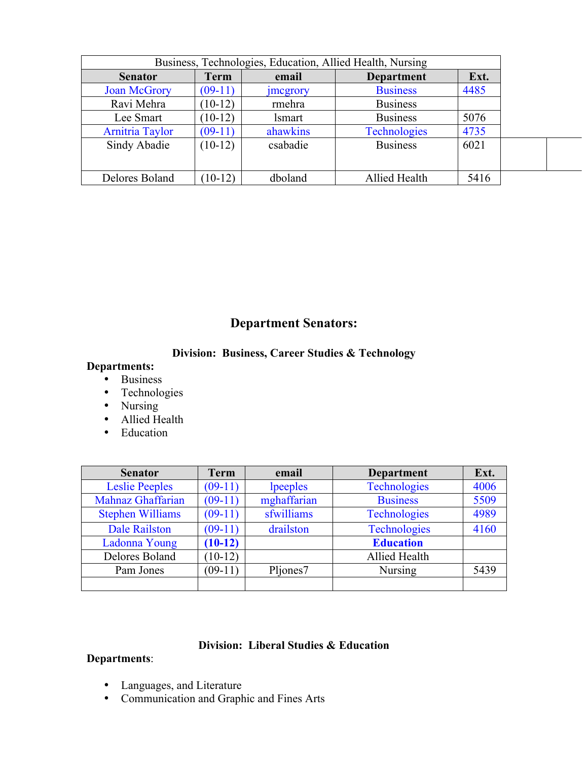| Business, Technologies, Education, Allied Health, Nursing |             |                 |                     |      |
|-----------------------------------------------------------|-------------|-----------------|---------------------|------|
| <b>Senator</b>                                            | <b>Term</b> | email           | <b>Department</b>   | Ext. |
| <b>Joan McGrory</b>                                       | $(09-11)$   | <i>jmcgrory</i> | <b>Business</b>     | 4485 |
| Ravi Mehra                                                | $(10-12)$   | rmehra          | <b>Business</b>     |      |
| Lee Smart                                                 | $10-12)$    | <i>lsmart</i>   | <b>Business</b>     | 5076 |
| <b>Arnitria Taylor</b>                                    | $(09-11)$   | ahawkins        | <b>Technologies</b> | 4735 |
| Sindy Abadie                                              | $(10-12)$   | csabadie        | <b>Business</b>     | 6021 |
|                                                           |             |                 |                     |      |
| Delores Boland                                            | $(10-12)$   | dboland         | Allied Health       | 5416 |

## **Department Senators:**

### **Division: Business, Career Studies & Technology**

## **Departments:**

- Business
- Technologies
- Nursing
- Allied Health
- Education

| <b>Senator</b>          | <b>Term</b> | email<br><b>Department</b> |                     | Ext. |
|-------------------------|-------------|----------------------------|---------------------|------|
| <b>Leslie Peeples</b>   | $(09-11)$   | lpeeples                   | Technologies        | 4006 |
| Mahnaz Ghaffarian       | $(09-11)$   | mghaffarian                | <b>Business</b>     | 5509 |
| <b>Stephen Williams</b> | $(09-11)$   | sfwilliams                 | <b>Technologies</b> | 4989 |
| <b>Dale Railston</b>    | $(09-11)$   | drailston                  | <b>Technologies</b> | 4160 |
| Ladonna Young           | $(10-12)$   |                            | <b>Education</b>    |      |
| Delores Boland          | $(10-12)$   |                            | Allied Health       |      |
| Pam Jones               | $(09-11)$   | Pljones7                   | <b>Nursing</b>      | 5439 |
|                         |             |                            |                     |      |

### **Division: Liberal Studies & Education**

### **Departments**:

- Languages, and Literature
- Communication and Graphic and Fines Arts